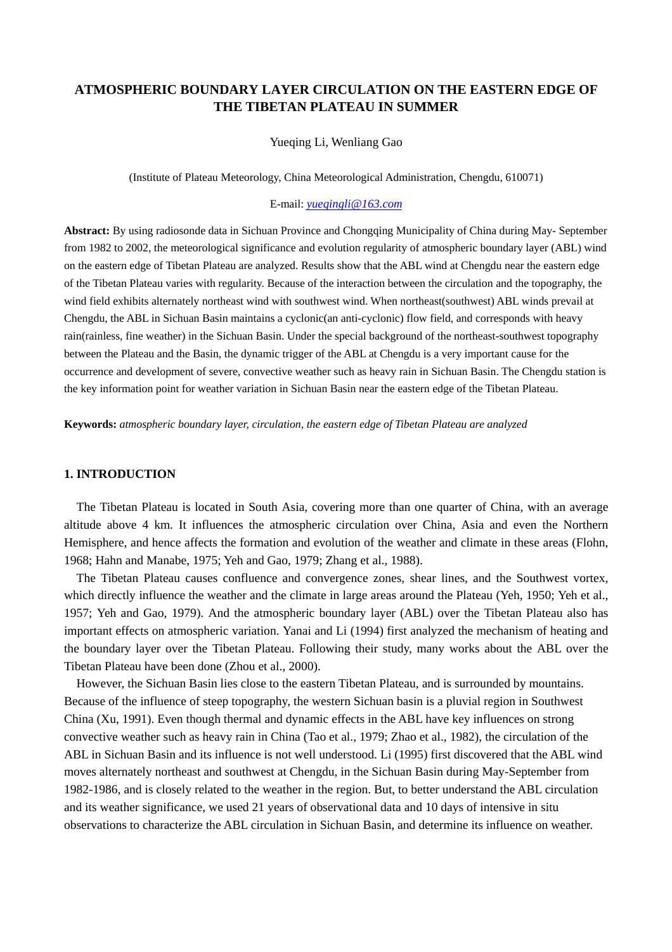# **ATMOSPHERIC BOUNDARY LAYER CIRCULATION ON THE EASTERN EDGE OF THE TIBETAN PLATEAU IN SUMMER**

#### Yueqing Li, Wenliang Gao

(Institute of Plateau Meteorology, China Meteorological Administration, Chengdu, 610071)

# E-mail: *yueqingli@163.com*

Abstract: By using radiosonde data in Sichuan Province and Chongqing Municipality of China during May- September from 1982 to 2002, the meteorological significance and evolution regularity of atmospheric boundary layer (ABL) wind on the eastern edge of Tibetan Plateau are analyzed. Results show that the ABL wind at Chengdu near the eastern edge of the Tibetan Plateau varies with regularity. Because of the interaction between the circulation and the topography, the wind field exhibits alternately northeast wind with southwest wind. When northeast(southwest) ABL winds prevail at Chengdu, the ABL in Sichuan Basin maintains a cyclonic(an anti-cyclonic) flow field, and corresponds with heavy rain(rainless, fine weather) in the Sichuan Basin. Under the special background of the northeast-southwest topography between the Plateau and the Basin, the dynamic trigger of the ABL at Chengdu is a very important cause for the occurrence and development of severe, convective weather such as heavy rain in Sichuan Basin. The Chengdu station is the key information point for weather variation in Sichuan Basin near the eastern edge of the Tibetan Plateau.

**Keywords:** *atmospheric boundary layer, circulation, the eastern edge of Tibetan Plateau are analyzed*

### **1. INTRODUCTION**

The Tibetan Plateau is located in South Asia, covering more than one quarter of China, with an average altitude above 4 km. It influences the atmospheric circulation over China, Asia and even the Northern Hemisphere, and hence affects the formation and evolution of the weather and climate in these areas (Flohn, 1968; Hahn and Manabe, 1975; Yeh and Gao, 1979; Zhang et al., 1988).

The Tibetan Plateau causes confluence and convergence zones, shear lines, and the Southwest vortex, which directly influence the weather and the climate in large areas around the Plateau (Yeh, 1950; Yeh et al., 1957; Yeh and Gao, 1979). And the atmospheric boundary layer (ABL) over the Tibetan Plateau also has important effects on atmospheric variation. Yanai and Li (1994) first analyzed the mechanism of heating and the boundary layer over the Tibetan Plateau. Following their study, many works about the ABL over the Tibetan Plateau have been done (Zhou et al., 2000).

However, the Sichuan Basin lies close to the eastern Tibetan Plateau, and is surrounded by mountains. Because of the influence of steep topography, the western Sichuan basin is a pluvial region in Southwest China (Xu, 1991). Even though thermal and dynamic effects in the ABL have key influences on strong convective weather such as heavy rain in China (Tao et al., 1979; Zhao et al., 1982), the circulation of the ABL in Sichuan Basin and its influence is not well understood. Li (1995) first discovered that the ABL wind moves alternately northeast and southwest at Chengdu, in the Sichuan Basin during May-September from 1982-1986, and is closely related to the weather in the region. But, to better understand the ABL circulation and its weather significance, we used 21 years of observational data and 10 days of intensive in situ observations to characterize the ABL circulation in Sichuan Basin, and determine its influence on weather.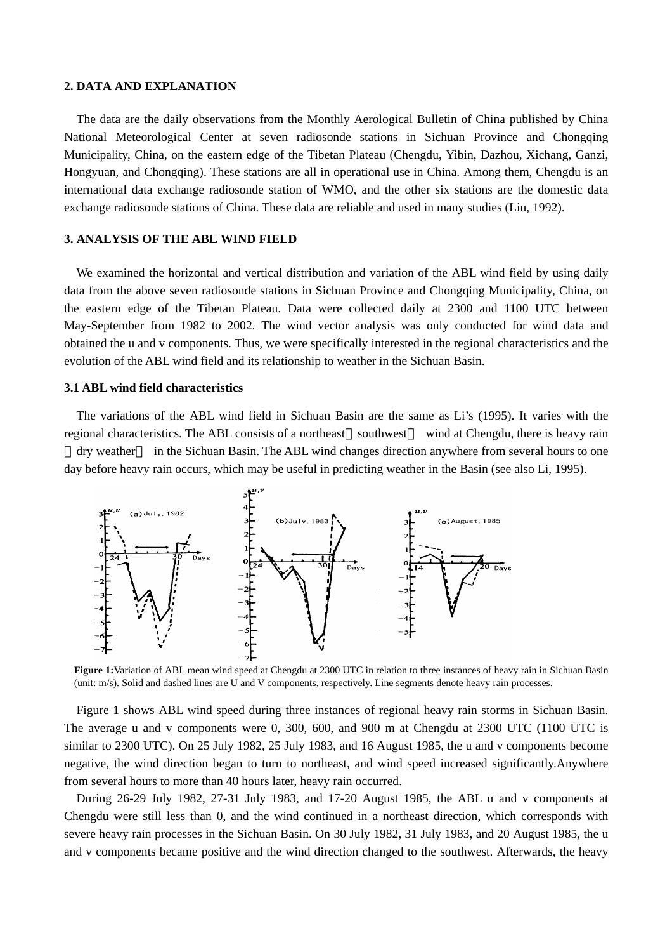#### **2. DATA AND EXPLANATION**

The data are the daily observations from the Monthly Aerological Bulletin of China published by China National Meteorological Center at seven radiosonde stations in Sichuan Province and Chongqing Municipality, China, on the eastern edge of the Tibetan Plateau (Chengdu, Yibin, Dazhou, Xichang, Ganzi, Hongyuan, and Chongqing). These stations are all in operational use in China. Among them, Chengdu is an international data exchange radiosonde station of WMO, and the other six stations are the domestic data exchange radiosonde stations of China. These data are reliable and used in many studies (Liu, 1992).

## **3. ANALYSIS OF THE ABL WIND FIELD**

We examined the horizontal and vertical distribution and variation of the ABL wind field by using daily data from the above seven radiosonde stations in Sichuan Province and Chongqing Municipality, China, on the eastern edge of the Tibetan Plateau. Data were collected daily at 2300 and 1100 UTC between May-September from 1982 to 2002. The wind vector analysis was only conducted for wind data and obtained the u and v components. Thus, we were specifically interested in the regional characteristics and the evolution of the ABL wind field and its relationship to weather in the Sichuan Basin.

#### **3.1 ABL wind field characteristics**

The variations of the ABL wind field in Sichuan Basin are the same as Li's (1995). It varies with the regional characteristics. The ABL consists of a northeast southwest wind at Chengdu, there is heavy rain

dry weather in the Sichuan Basin. The ABL wind changes direction anywhere from several hours to one day before heavy rain occurs, which may be useful in predicting weather in the Basin (see also Li, 1995).



**Figure 1:**Variation of ABL mean wind speed at Chengdu at 2300 UTC in relation to three instances of heavy rain in Sichuan Basin (unit: m/s). Solid and dashed lines are U and V components, respectively. Line segments denote heavy rain processes.

Figure 1 shows ABL wind speed during three instances of regional heavy rain storms in Sichuan Basin. The average u and v components were 0, 300, 600, and 900 m at Chengdu at 2300 UTC (1100 UTC is similar to 2300 UTC). On 25 July 1982, 25 July 1983, and 16 August 1985, the u and v components become negative, the wind direction began to turn to northeast, and wind speed increased significantly.Anywhere from several hours to more than 40 hours later, heavy rain occurred.

During 26-29 July 1982, 27-31 July 1983, and 17-20 August 1985, the ABL u and v components at Chengdu were still less than 0, and the wind continued in a northeast direction, which corresponds with severe heavy rain processes in the Sichuan Basin. On 30 July 1982, 31 July 1983, and 20 August 1985, the u and v components became positive and the wind direction changed to the southwest. Afterwards, the heavy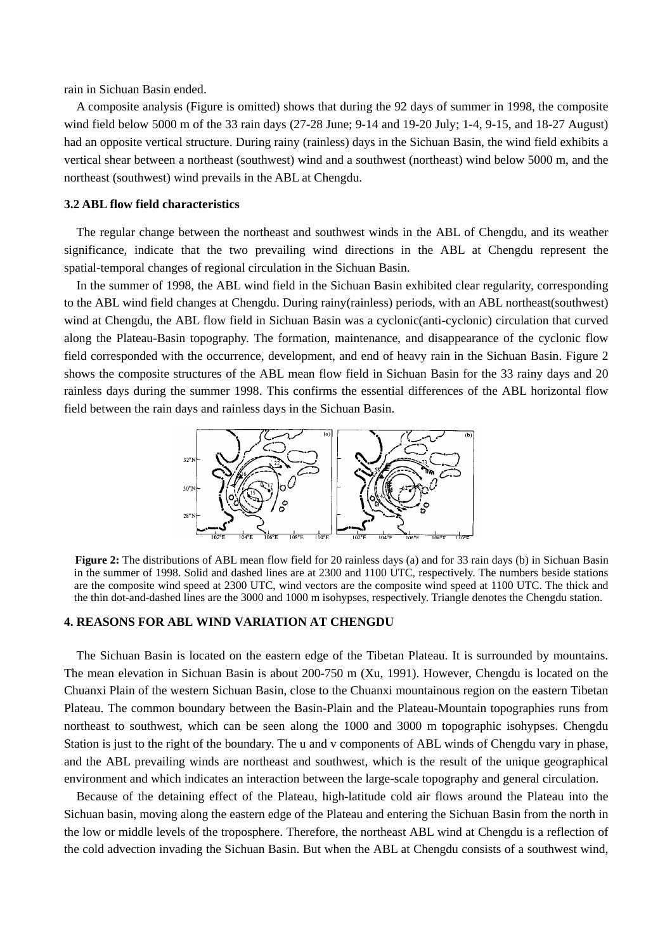rain in Sichuan Basin ended.

A composite analysis (Figure is omitted) shows that during the 92 days of summer in 1998, the composite wind field below 5000 m of the 33 rain days (27-28 June; 9-14 and 19-20 July; 1-4, 9-15, and 18-27 August) had an opposite vertical structure. During rainy (rainless) days in the Sichuan Basin, the wind field exhibits a vertical shear between a northeast (southwest) wind and a southwest (northeast) wind below 5000 m, and the northeast (southwest) wind prevails in the ABL at Chengdu.

# **3.2 ABL flow field characteristics**

The regular change between the northeast and southwest winds in the ABL of Chengdu, and its weather significance, indicate that the two prevailing wind directions in the ABL at Chengdu represent the spatial-temporal changes of regional circulation in the Sichuan Basin.

In the summer of 1998, the ABL wind field in the Sichuan Basin exhibited clear regularity, corresponding to the ABL wind field changes at Chengdu. During rainy(rainless) periods, with an ABL northeast(southwest) wind at Chengdu, the ABL flow field in Sichuan Basin was a cyclonic(anti-cyclonic) circulation that curved along the Plateau-Basin topography. The formation, maintenance, and disappearance of the cyclonic flow field corresponded with the occurrence, development, and end of heavy rain in the Sichuan Basin. Figure 2 shows the composite structures of the ABL mean flow field in Sichuan Basin for the 33 rainy days and 20 rainless days during the summer 1998. This confirms the essential differences of the ABL horizontal flow field between the rain days and rainless days in the Sichuan Basin.



**Figure 2:** The distributions of ABL mean flow field for 20 rainless days (a) and for 33 rain days (b) in Sichuan Basin in the summer of 1998. Solid and dashed lines are at 2300 and 1100 UTC, respectively. The numbers beside stations are the composite wind speed at 2300 UTC, wind vectors are the composite wind speed at 1100 UTC. The thick and the thin dot-and-dashed lines are the 3000 and 1000 m isohypses, respectively. Triangle denotes the Chengdu station.

#### **4. REASONS FOR ABL WIND VARIATION AT CHENGDU**

The Sichuan Basin is located on the eastern edge of the Tibetan Plateau. It is surrounded by mountains. The mean elevation in Sichuan Basin is about 200-750 m (Xu, 1991). However, Chengdu is located on the Chuanxi Plain of the western Sichuan Basin, close to the Chuanxi mountainous region on the eastern Tibetan Plateau. The common boundary between the Basin-Plain and the Plateau-Mountain topographies runs from northeast to southwest, which can be seen along the 1000 and 3000 m topographic isohypses. Chengdu Station is just to the right of the boundary. The u and v components of ABL winds of Chengdu vary in phase, and the ABL prevailing winds are northeast and southwest, which is the result of the unique geographical environment and which indicates an interaction between the large-scale topography and general circulation.

Because of the detaining effect of the Plateau, high-latitude cold air flows around the Plateau into the Sichuan basin, moving along the eastern edge of the Plateau and entering the Sichuan Basin from the north in the low or middle levels of the troposphere. Therefore, the northeast ABL wind at Chengdu is a reflection of the cold advection invading the Sichuan Basin. But when the ABL at Chengdu consists of a southwest wind,